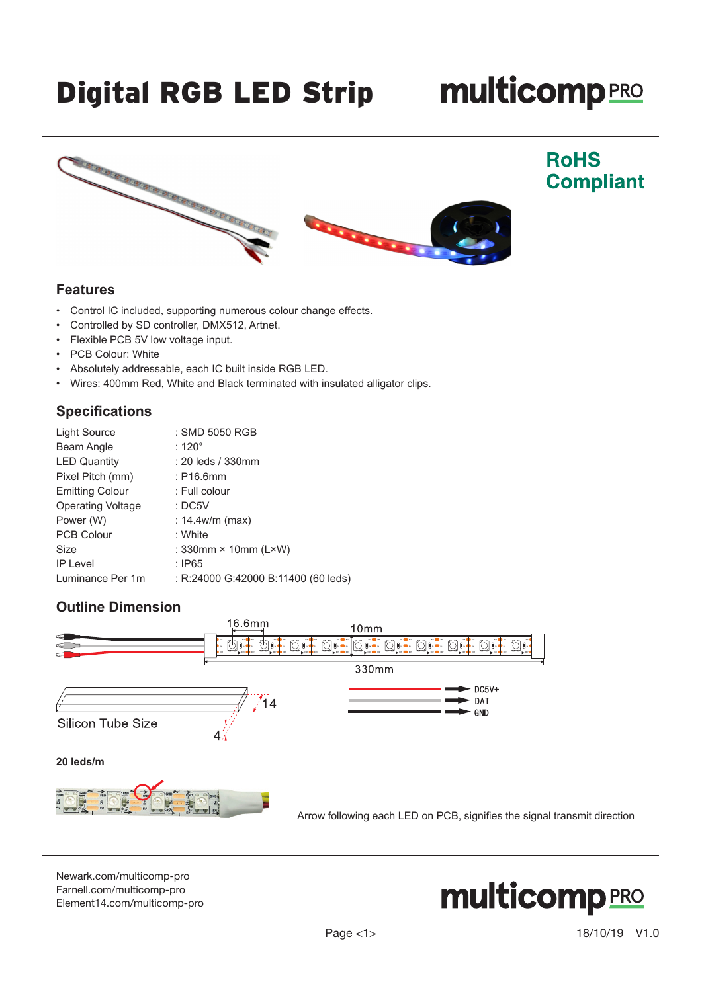# Digital RGB LED Strip

# **multicomp**PRO



#### **Features**

- Control IC included, supporting numerous colour change effects.
- Controlled by SD controller, DMX512, Artnet.
- Flexible PCB 5V low voltage input.
- PCB Colour: White
- Absolutely addressable, each IC built inside RGB LED.
- Wires: 400mm Red, White and Black terminated with insulated alligator clips.

#### **Specifications**

| <b>Light Source</b>      | : SMD 5050 RGB                      |
|--------------------------|-------------------------------------|
| Beam Angle               | : 120 $^{\circ}$                    |
| <b>LED Quantity</b>      | : 20 leds / 330mm                   |
| Pixel Pitch (mm)         | $:$ P16.6mm                         |
| <b>Emitting Colour</b>   | : Full colour                       |
| <b>Operating Voltage</b> | :DC5V                               |
| Power (W)                | : $14.4w/m$ (max)                   |
| <b>PCB Colour</b>        | : White                             |
| Size                     | : $330$ mm × 10mm ( $L \times W$ )  |
| <b>IP Level</b>          | : IP65                              |
| Luminance Per 1m         | : R:24000 G:42000 B:11400 (60 leds) |

## **Outline Dimension**



[Newark.com/multicomp-](https://www.newark.com/multicomp-pro)pro [Farnell.com/multicomp](https://www.farnell.com/multicomp-pro)-pro [Element14.com/multicomp-pro](https://element14.com/multicomp-pro)